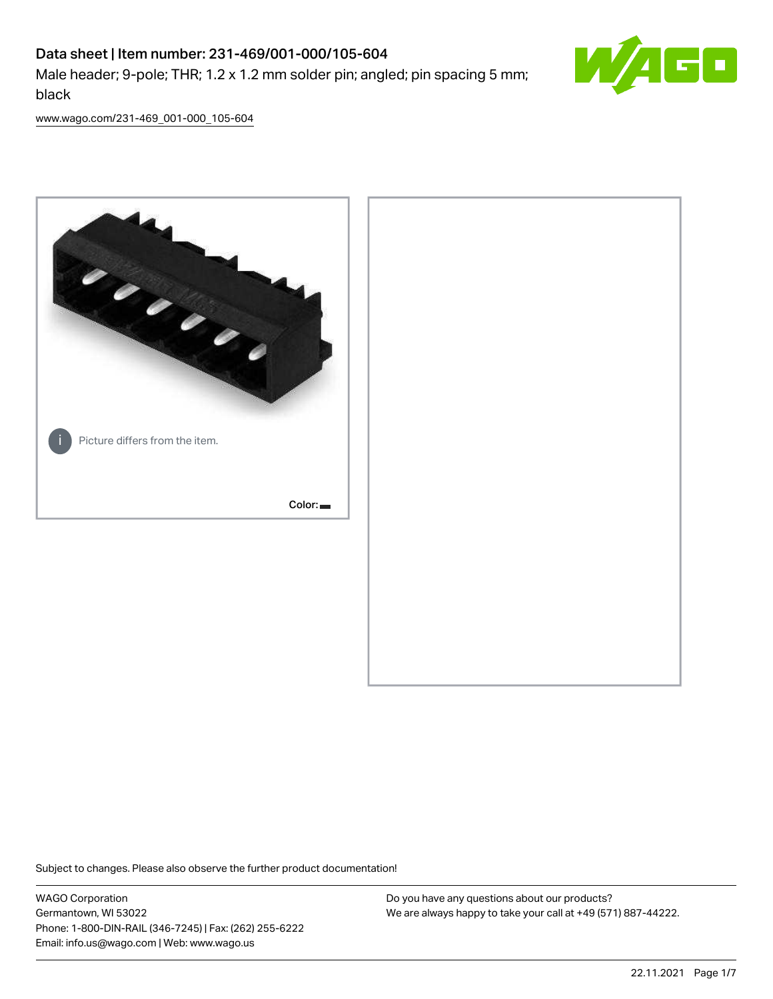# Data sheet | Item number: 231-469/001-000/105-604 Male header; 9-pole; THR; 1.2 x 1.2 mm solder pin; angled; pin spacing 5 mm; black



[www.wago.com/231-469\\_001-000\\_105-604](http://www.wago.com/231-469_001-000_105-604)



Subject to changes. Please also observe the further product documentation!

WAGO Corporation Germantown, WI 53022 Phone: 1-800-DIN-RAIL (346-7245) | Fax: (262) 255-6222 Email: info.us@wago.com | Web: www.wago.us

Do you have any questions about our products? We are always happy to take your call at +49 (571) 887-44222.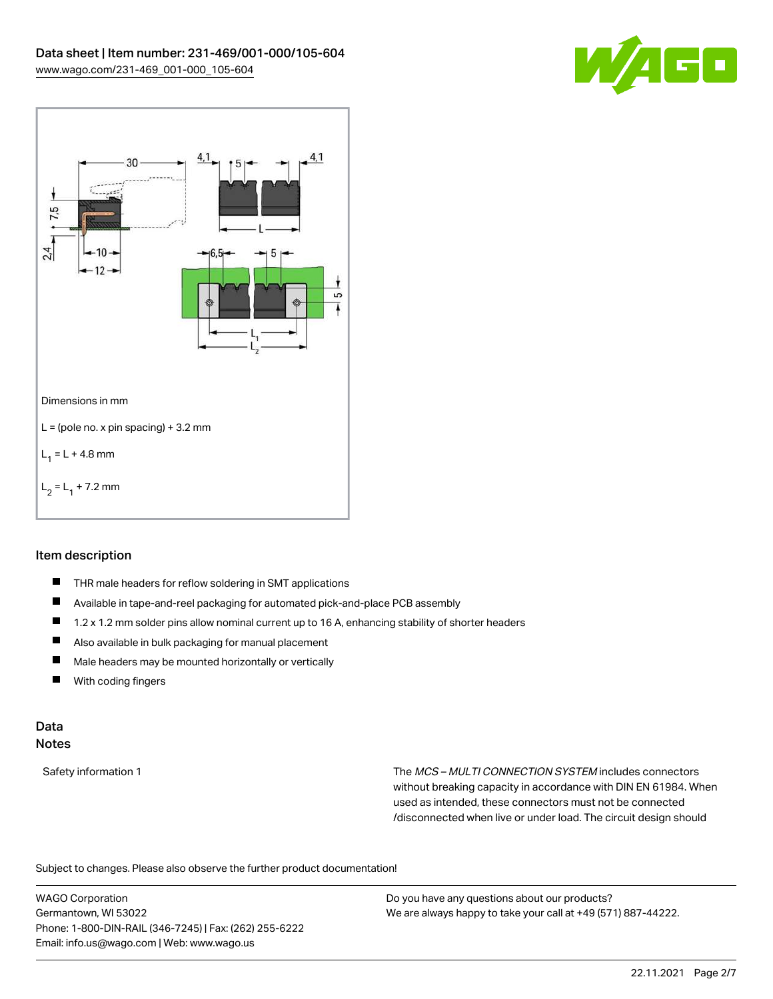



### Item description

- $\blacksquare$ THR male headers for reflow soldering in SMT applications
- $\blacksquare$ Available in tape-and-reel packaging for automated pick-and-place PCB assembly
- П 1.2 x 1.2 mm solder pins allow nominal current up to 16 A, enhancing stability of shorter headers
- П Also available in bulk packaging for manual placement
- $\blacksquare$ Male headers may be mounted horizontally or vertically
- $\blacksquare$ With coding fingers

#### Data Notes

Safety information 1 The MCS – MULTI CONNECTION SYSTEM includes connectors without breaking capacity in accordance with DIN EN 61984. When used as intended, these connectors must not be connected /disconnected when live or under load. The circuit design should

Subject to changes. Please also observe the further product documentation!  $\mathbf{e}$ 

WAGO Corporation Germantown, WI 53022 Phone: 1-800-DIN-RAIL (346-7245) | Fax: (262) 255-6222 Email: info.us@wago.com | Web: www.wago.us

Do you have any questions about our products? We are always happy to take your call at +49 (571) 887-44222.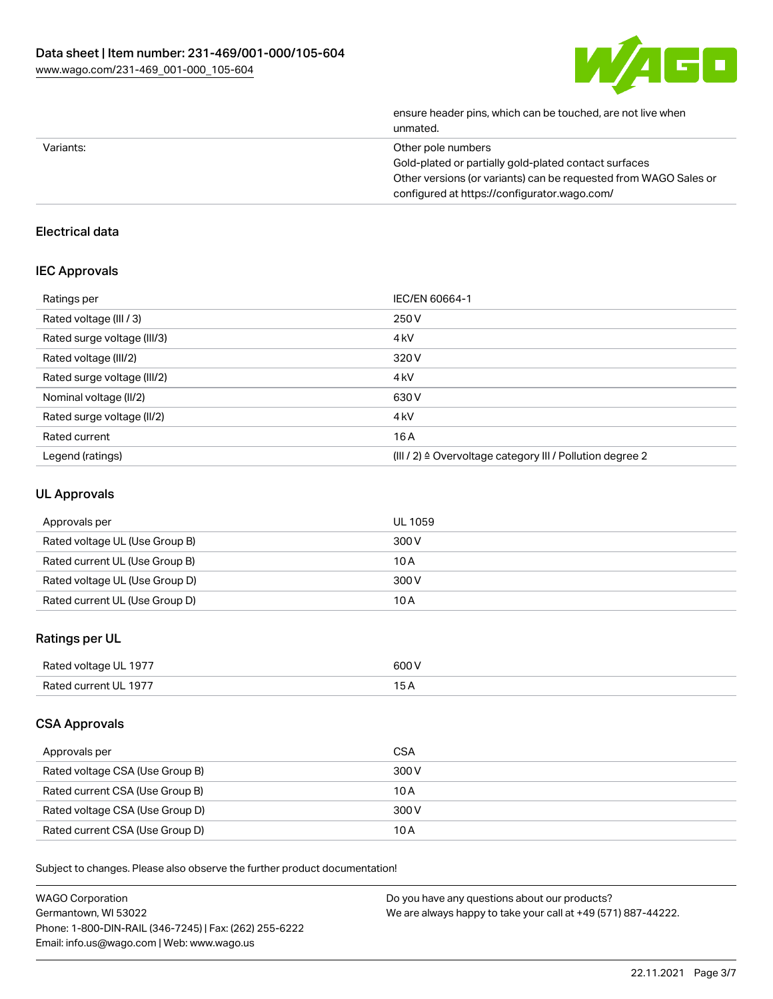

| ensure header pins, which can be touched, are not live when<br>unmated. |
|-------------------------------------------------------------------------|
| Other pole numbers                                                      |
| Gold-plated or partially gold-plated contact surfaces                   |
| Other versions (or variants) can be requested from WAGO Sales or        |
| configured at https://configurator.wago.com/                            |
|                                                                         |

## Electrical data

#### IEC Approvals

| Ratings per                 | IEC/EN 60664-1                                                        |
|-----------------------------|-----------------------------------------------------------------------|
| Rated voltage (III / 3)     | 250 V                                                                 |
| Rated surge voltage (III/3) | 4 <sub>k</sub> V                                                      |
| Rated voltage (III/2)       | 320 V                                                                 |
| Rated surge voltage (III/2) | 4 <sub>k</sub> V                                                      |
| Nominal voltage (II/2)      | 630 V                                                                 |
| Rated surge voltage (II/2)  | 4 <sub>k</sub> V                                                      |
| Rated current               | 16A                                                                   |
| Legend (ratings)            | $(III / 2)$ $\triangle$ Overvoltage category III / Pollution degree 2 |

#### UL Approvals

| Approvals per                  | UL 1059 |
|--------------------------------|---------|
| Rated voltage UL (Use Group B) | 300 V   |
| Rated current UL (Use Group B) | 10 A    |
| Rated voltage UL (Use Group D) | 300 V   |
| Rated current UL (Use Group D) | 10 A    |

## Ratings per UL

| Rated voltage UL 1977 | 600 V |
|-----------------------|-------|
| Rated current UL 1977 | ____  |

### CSA Approvals

| Approvals per                   | CSA   |
|---------------------------------|-------|
| Rated voltage CSA (Use Group B) | 300 V |
| Rated current CSA (Use Group B) | 10 A  |
| Rated voltage CSA (Use Group D) | 300 V |
| Rated current CSA (Use Group D) | 10 A  |

Subject to changes. Please also observe the further product documentation!

| <b>WAGO Corporation</b>                                | Do you have any questions about our products?                 |
|--------------------------------------------------------|---------------------------------------------------------------|
| Germantown, WI 53022                                   | We are always happy to take your call at +49 (571) 887-44222. |
| Phone: 1-800-DIN-RAIL (346-7245)   Fax: (262) 255-6222 |                                                               |
| Email: info.us@wago.com   Web: www.wago.us             |                                                               |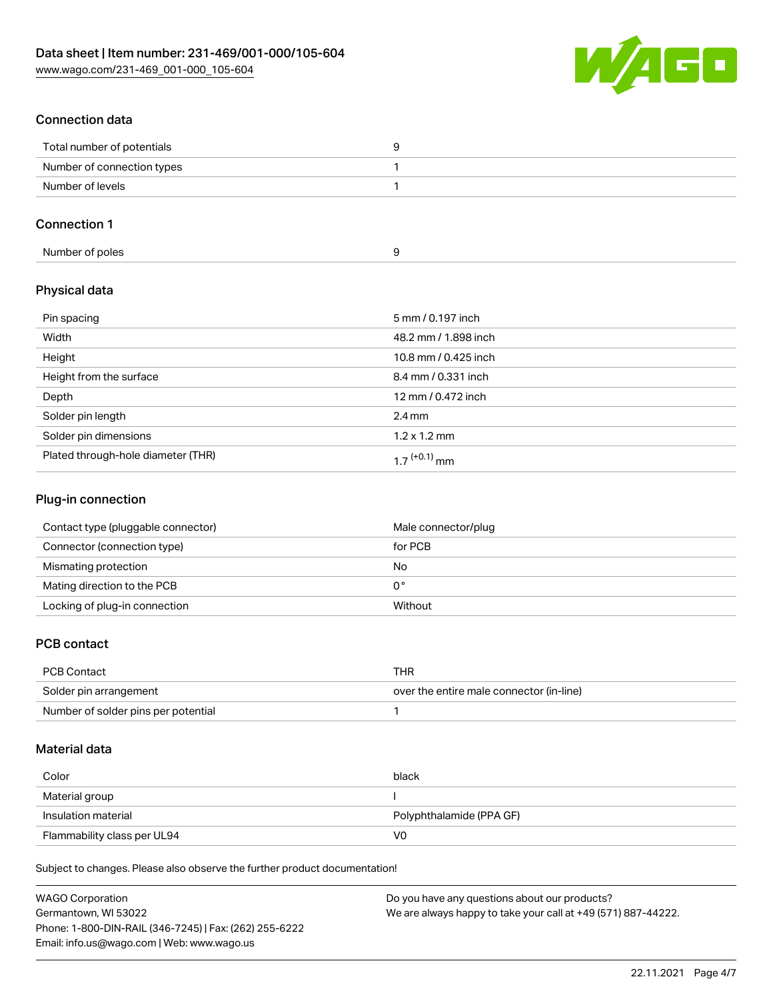

## Connection data

| Total number of potentials |  |
|----------------------------|--|
| Number of connection types |  |
| Number of levels           |  |

## Connection 1

### Physical data

| Pin spacing                        | 5 mm / 0.197 inch        |
|------------------------------------|--------------------------|
| Width                              | 48.2 mm / 1.898 inch     |
| Height                             | 10.8 mm / 0.425 inch     |
| Height from the surface            | 8.4 mm / 0.331 inch      |
| Depth                              | 12 mm / 0.472 inch       |
| Solder pin length                  | $2.4 \text{ mm}$         |
| Solder pin dimensions              | $1.2 \times 1.2$ mm      |
| Plated through-hole diameter (THR) | 1 7 <sup>(+0.1)</sup> mm |

### Plug-in connection

| Contact type (pluggable connector) | Male connector/plug |
|------------------------------------|---------------------|
| Connector (connection type)        | for PCB             |
| Mismating protection               | No                  |
| Mating direction to the PCB        | 0°                  |
| Locking of plug-in connection      | Without             |

#### PCB contact

| PCB Contact                         | THR                                      |
|-------------------------------------|------------------------------------------|
| Solder pin arrangement              | over the entire male connector (in-line) |
| Number of solder pins per potential |                                          |

### Material data

| Color                       | black                    |
|-----------------------------|--------------------------|
| Material group              |                          |
| Insulation material         | Polyphthalamide (PPA GF) |
| Flammability class per UL94 | VO                       |

Subject to changes. Please also observe the further product documentation!

| <b>WAGO Corporation</b>                                | Do you have any questions about our products?                 |
|--------------------------------------------------------|---------------------------------------------------------------|
| Germantown, WI 53022                                   | We are always happy to take your call at +49 (571) 887-44222. |
| Phone: 1-800-DIN-RAIL (346-7245)   Fax: (262) 255-6222 |                                                               |
| Email: info.us@wago.com   Web: www.wago.us             |                                                               |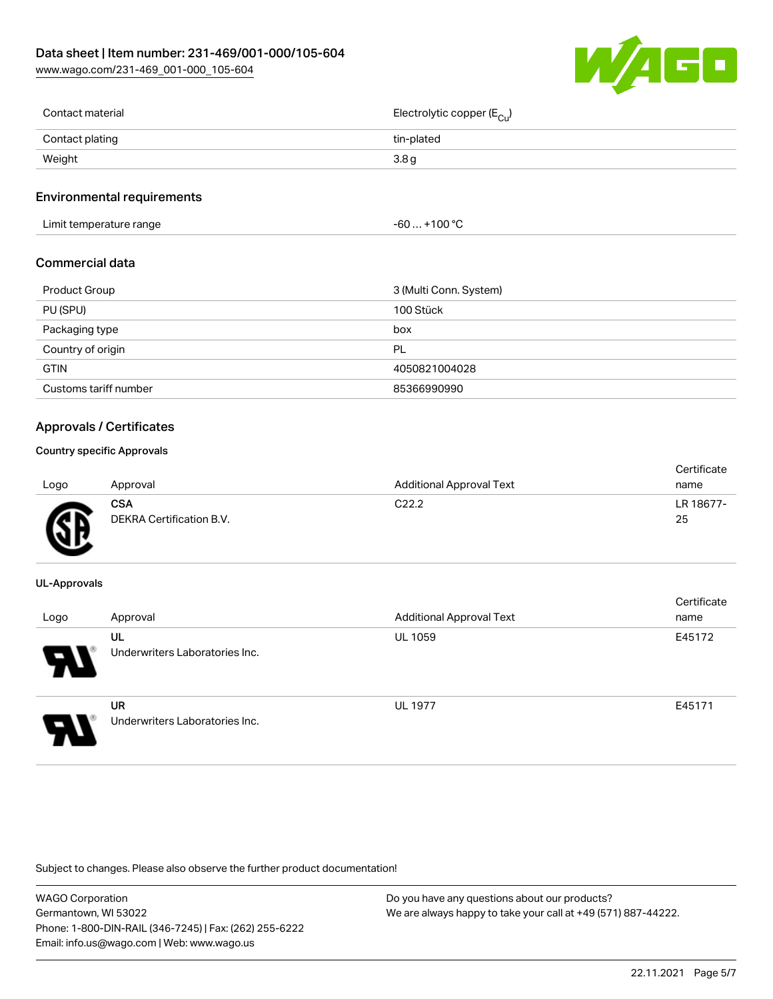[www.wago.com/231-469\\_001-000\\_105-604](http://www.wago.com/231-469_001-000_105-604)



| Contact material | Electrolytic copper (E <sub>Cu</sub> ) |
|------------------|----------------------------------------|
| Contact plating  | tin-plated                             |
| Weight           | 3.8 g                                  |
|                  |                                        |

#### Environmental requirements

Limit temperature range  $-60... +100 °C$ 

#### Commercial data

| Product Group         | 3 (Multi Conn. System) |
|-----------------------|------------------------|
| PU (SPU)              | 100 Stück              |
| Packaging type        | box                    |
| Country of origin     | PL                     |
| <b>GTIN</b>           | 4050821004028          |
| Customs tariff number | 85366990990            |

### Approvals / Certificates

#### Country specific Approvals

| Logo      | Approval                               | <b>Additional Approval Text</b> | Certificate<br>name |
|-----------|----------------------------------------|---------------------------------|---------------------|
| <b>RE</b> | <b>CSA</b><br>DEKRA Certification B.V. | C <sub>22.2</sub>               | LR 18677-<br>25     |

#### UL-Approvals

| Logo | Approval                             | <b>Additional Approval Text</b> | Certificate<br>name |
|------|--------------------------------------|---------------------------------|---------------------|
| 8.   | UL<br>Underwriters Laboratories Inc. | <b>UL 1059</b>                  | E45172              |
|      | UR<br>Underwriters Laboratories Inc. | <b>UL 1977</b>                  | E45171              |

Subject to changes. Please also observe the further product documentation!

| WAGO Corporation                                       | Do you have any questions about our products?                 |
|--------------------------------------------------------|---------------------------------------------------------------|
| Germantown. WI 53022                                   | We are always happy to take your call at +49 (571) 887-44222. |
| Phone: 1-800-DIN-RAIL (346-7245)   Fax: (262) 255-6222 |                                                               |
| Email: info.us@wago.com   Web: www.wago.us             |                                                               |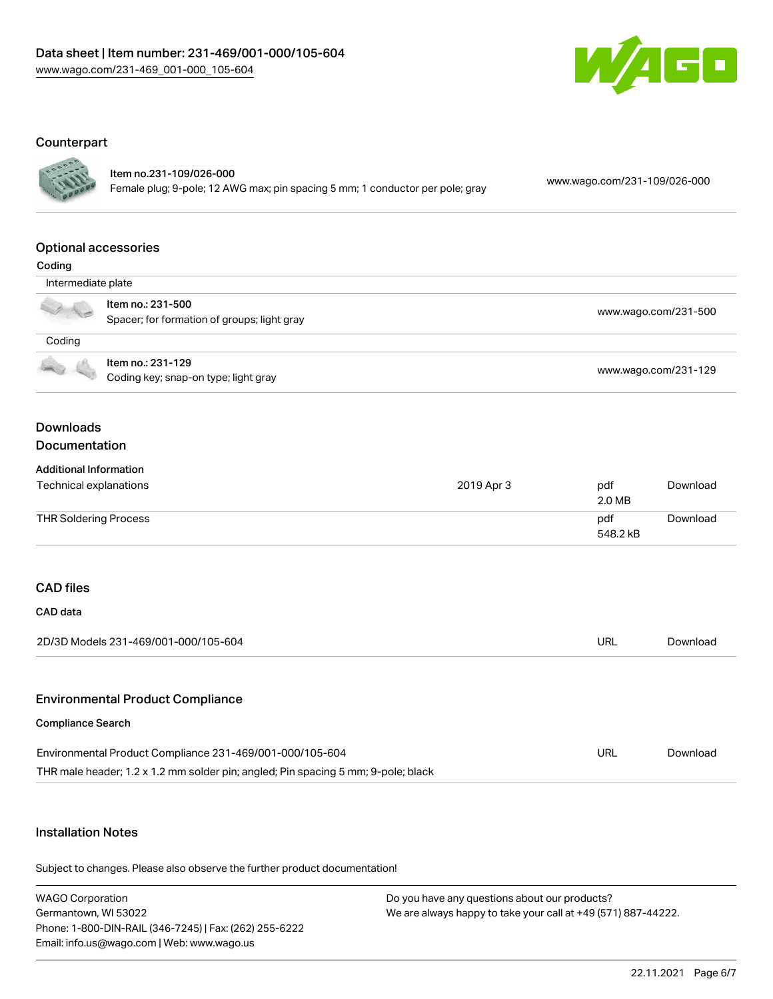

#### **Counterpart**



#### Item no.231-109/026-000

Female plug; 9-pole; 12 AWG max; pin spacing 5 mm; 1 conductor per pole; gray [www.wago.com/231-109/026-000](https://www.wago.com/231-109/026-000)

#### Optional accessories

| ı |  |
|---|--|
|   |  |

| $-0.0119$          |                                                                  |                      |
|--------------------|------------------------------------------------------------------|----------------------|
| Intermediate plate |                                                                  |                      |
|                    | Item no.: 231-500<br>Spacer; for formation of groups; light gray | www.wago.com/231-500 |
| Coding             |                                                                  |                      |
| 436                | Item no.: 231-129<br>Coding key; snap-on type; light gray        | www.wago.com/231-129 |

#### Downloads Documentation

#### Additional Information

| Technical explanations | 2019 Apr 3 | pdf<br>2.0 MB   | Download |
|------------------------|------------|-----------------|----------|
| THR Soldering Process  |            | pdf<br>548.2 kB | Download |

## CAD files

| CAD data                             |     |          |
|--------------------------------------|-----|----------|
| 2D/3D Models 231-469/001-000/105-604 | URL | Download |
|                                      |     |          |

#### Environmental Product Compliance

#### Compliance Search

| Environmental Product Compliance 231-469/001-000/105-604                          | URL | Download |
|-----------------------------------------------------------------------------------|-----|----------|
| THR male header; 1.2 x 1.2 mm solder pin; angled; Pin spacing 5 mm; 9-pole; black |     |          |

### Installation Notes

Subject to changes. Please also observe the further product documentation!

WAGO Corporation Germantown, WI 53022 Phone: 1-800-DIN-RAIL (346-7245) | Fax: (262) 255-6222 Email: info.us@wago.com | Web: www.wago.us Do you have any questions about our products? We are always happy to take your call at +49 (571) 887-44222.